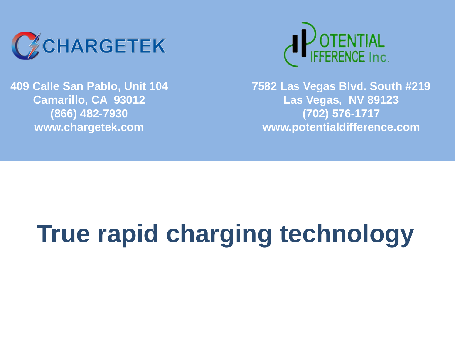

**409 Calle San Pablo, Unit 104 Camarillo, CA 93012 (866) 482-7930 www.chargetek.com**



**7582 Las Vegas Blvd. South #219 Las Vegas, NV 89123 (702) 576-1717 www.potentialdifference.com**

# **True rapid charging technology**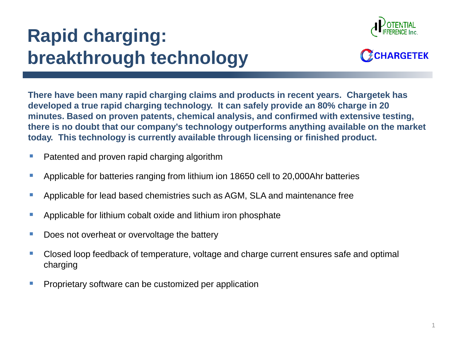## **Rapid charging: breakthrough technology**





**There have been many rapid charging claims and products in recent years. Chargetek has developed a true rapid charging technology. It can safely provide an 80% charge in 20 minutes. Based on proven patents, chemical analysis, and confirmed with extensive testing, there is no doubt that our company's technology outperforms anything available on the market today. This technology is currently available through licensing or finished product.**

- Patented and proven rapid charging algorithm
- Applicable for batteries ranging from lithium ion 18650 cell to 20,000Ahr batteries
- Applicable for lead based chemistries such as AGM, SLA and maintenance free
- **Applicable for lithium cobalt oxide and lithium iron phosphate**
- Does not overheat or overvoltage the battery
- Closed loop feedback of temperature, voltage and charge current ensures safe and optimal charging
- Proprietary software can be customized per application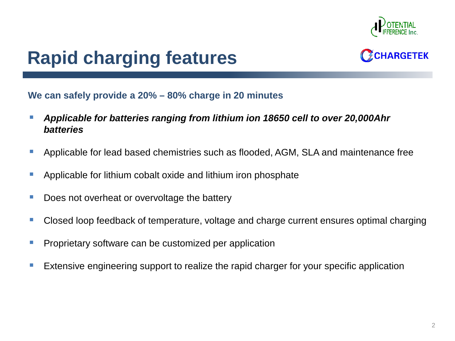

### **Rapid charging features**



#### **We can safely provide a 20% – 80% charge in 20 minutes**

- *Applicable for batteries ranging from lithium ion 18650 cell to over 20,000Ahr batteries*
- Applicable for lead based chemistries such as flooded, AGM, SLA and maintenance free
- Applicable for lithium cobalt oxide and lithium iron phosphate
- Does not overheat or overvoltage the battery
- Closed loop feedback of temperature, voltage and charge current ensures optimal charging
- Proprietary software can be customized per application
- Extensive engineering support to realize the rapid charger for your specific application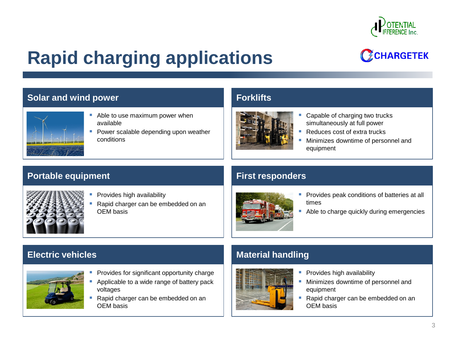

### **Rapid charging applications**

### CCHARGETEK

#### **Solar and wind power Forklifts**



- Able to use maximum power when available
- **Power scalable depending upon weather** conditions



- Capable of charging two trucks simultaneously at full power
- Reduces cost of extra trucks
- Minimizes downtime of personnel and equipment

#### **Portable equipment First responders**



- Provides high availability
	- Rapid charger can be embedded on an OEM basis



- **Provides peak conditions of batteries at all** times
- Able to charge quickly during emergencies



- Provides for significant opportunity charge
- Applicable to a wide range of battery pack voltages
- Rapid charger can be embedded on an OEM basis

#### **Electric vehicles Material handling Material handling**



- Provides high availability
- **Minimizes downtime of personnel and** equipment
- Rapid charger can be embedded on an OEM basis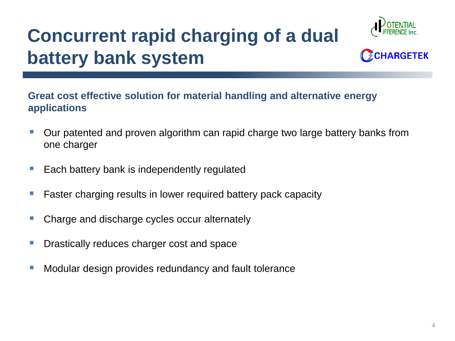## **Concurrent rapid charging of a dual battery bank system**





#### **Great cost effective solution for material handling and alternative energy applications**

- Our patented and proven algorithm can rapid charge two large battery banks from one charger
- Each battery bank is independently regulated
- Faster charging results in lower required battery pack capacity
- Charge and discharge cycles occur alternately
- Drastically reduces charger cost and space
- Modular design provides redundancy and fault tolerance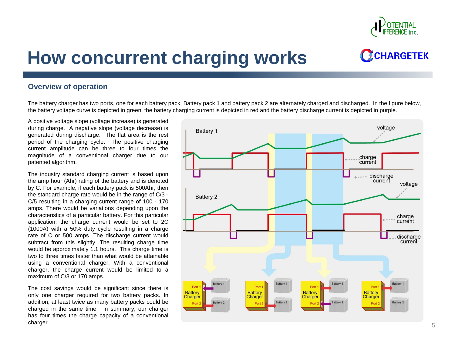

### **How concurrent charging works**

#### **Overview of operation**

The battery charger has two ports, one for each battery pack. Battery pack 1 and battery pack 2 are alternately charged and discharged. In the figure below, the battery voltage curve is depicted in green, the battery charging current is depicted in red and the battery discharge current is depicted in purple.

A positive voltage slope (voltage increase) is generated during charge. A negative slope (voltage decrease) is generated during discharge. The flat area is the rest period of the charging cycle. The positive charging current amplitude can be three to four times the magnitude of a conventional charger due to our patented algorithm.

The industry standard charging current is based upon the amp hour (Ahr) rating of the battery and is denoted by C. For example, if each battery pack is 500Ahr, then the standard charge rate would be in the range of C/3 - C/5 resulting in a charging current range of 100 - 170 amps. There would be variations depending upon the characteristics of a particular battery. For this particular application, the charge current would be set to 2C (1000A) with a 50% duty cycle resulting in a charge rate of C or 500 amps. The discharge current would subtract from this slightly. The resulting charge time would be approximately 1.1 hours. This charge time is two to three times faster than what would be attainable using a conventional charger. With a conventional charger, the charge current would be limited to a maximum of C/3 or 170 amps.

The cost savings would be significant since there is only one charger required for two battery packs. In addition, at least twice as many battery packs could be charged in the same time. In summary, our charger has four times the charge capacity of a conventional  $\blacksquare$ charger.  $5$ 

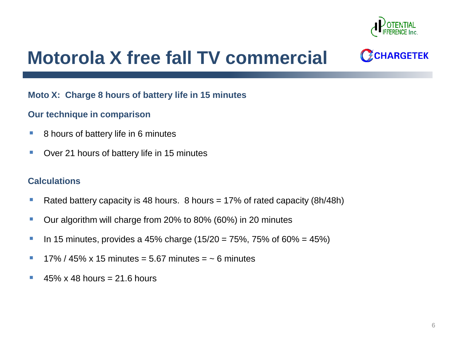

### **Motorola X free fall TV commercial**

CCHARGETEK

#### **Moto X: Charge 8 hours of battery life in 15 minutes**

#### **Our technique in comparison**

- 8 hours of battery life in 6 minutes
- **Diverment Cover 21 hours of battery life in 15 minutes**

#### **Calculations**

- Rated battery capacity is 48 hours.  $8$  hours = 17% of rated capacity (8h/48h)
- Our algorithm will charge from 20% to 80% (60%) in 20 minutes
- **IDED:** In 15 minutes, provides a 45% charge (15/20 = 75%, 75% of 60% = 45%)
- $17\%$  / 45% x 15 minutes = 5.67 minutes =  $\sim$  6 minutes
- $\approx 45\% \times 48$  hours = 21.6 hours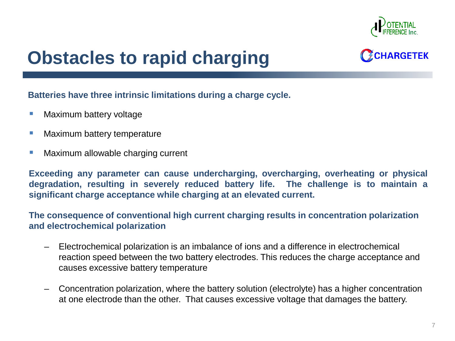

### **Obstacles to rapid charging**



#### **Batteries have three intrinsic limitations during a charge cycle.**

- Maximum battery voltage
- Maximum battery temperature
- Maximum allowable charging current

**Exceeding any parameter can cause undercharging, overcharging, overheating or physical degradation, resulting in severely reduced battery life. The challenge is to maintain a significant charge acceptance while charging at an elevated current.**

**The consequence of conventional high current charging results in concentration polarization and electrochemical polarization**

- Electrochemical polarization is an imbalance of ions and a difference in electrochemical reaction speed between the two battery electrodes. This reduces the charge acceptance and causes excessive battery temperature
- Concentration polarization, where the battery solution (electrolyte) has a higher concentration at one electrode than the other. That causes excessive voltage that damages the battery.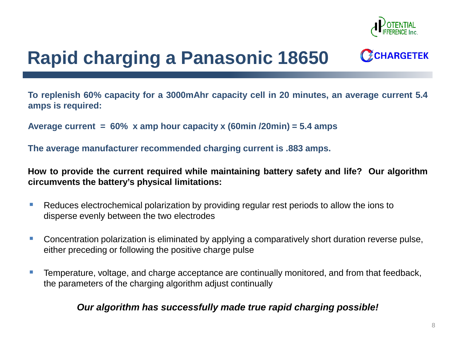

### **Rapid charging a Panasonic 18650**

**To replenish 60% capacity for a 3000mAhr capacity cell in 20 minutes, an average current 5.4 amps is required:**

**Average current = 60% x amp hour capacity x (60min /20min) = 5.4 amps**

**The average manufacturer recommended charging current is .883 amps.**

**How to provide the current required while maintaining battery safety and life? Our algorithm circumvents the battery's physical limitations:**

- Reduces electrochemical polarization by providing regular rest periods to allow the ions to disperse evenly between the two electrodes
- Concentration polarization is eliminated by applying a comparatively short duration reverse pulse, either preceding or following the positive charge pulse
- Temperature, voltage, and charge acceptance are continually monitored, and from that feedback, the parameters of the charging algorithm adjust continually

#### *Our algorithm has successfully made true rapid charging possible!*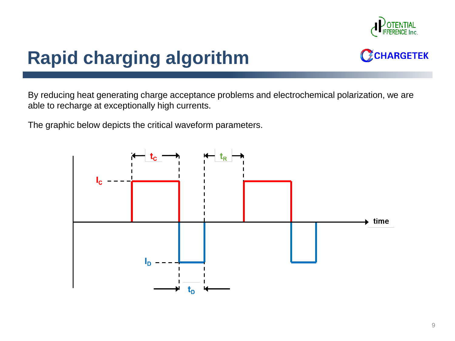

### **Rapid charging algorithm**



By reducing heat generating charge acceptance problems and electrochemical polarization, we are able to recharge at exceptionally high currents.

The graphic below depicts the critical waveform parameters.

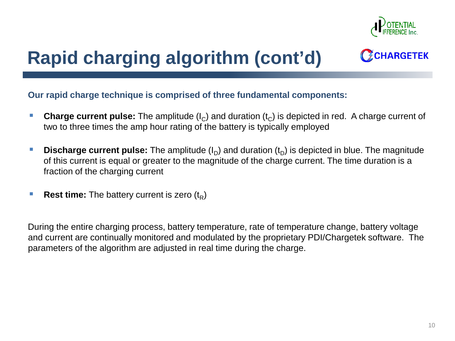

### **Rapid charging algorithm (cont'd)**

**Our rapid charge technique is comprised of three fundamental components:**

- **Charge current pulse:** The amplitude  $(I_C)$  and duration  $(t_C)$  is depicted in red. A charge current of two to three times the amp hour rating of the battery is typically employed
- **Discharge current pulse:** The amplitude (I<sub>D</sub>) and duration (t<sub>D</sub>) is depicted in blue. The magnitude of this current is equal or greater to the magnitude of the charge current. The time duration is a fraction of the charging current
- **Rest time:** The battery current is zero (t<sub>p</sub>)

During the entire charging process, battery temperature, rate of temperature change, battery voltage and current are continually monitored and modulated by the proprietary PDI/Chargetek software. The parameters of the algorithm are adjusted in real time during the charge.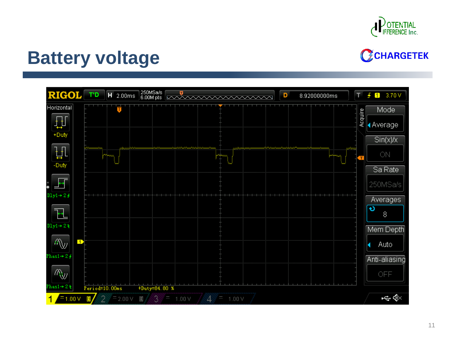

### **Battery voltage**

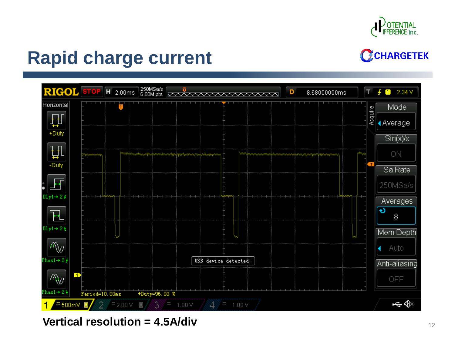

### **Rapid charge current**



**Vertical resolution = 4.5A/div** <sup>12</sup>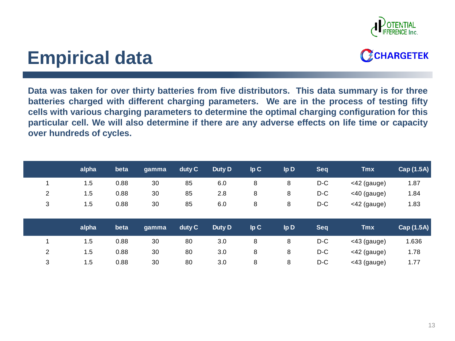

### **Empirical data**



**Data was taken for over thirty batteries from five distributors. This data summary is for three batteries charged with different charging parameters. We are in the process of testing fifty cells with various charging parameters to determine the optimal charging configuration for this particular cell. We will also determine if there are any adverse effects on life time or capacity over hundreds of cycles.**

|                | alpha | beta | gamma | duty C | Duty D | lpC | Ip D            | Seq        | <b>Tmx</b>     | Cap (1.5A) |
|----------------|-------|------|-------|--------|--------|-----|-----------------|------------|----------------|------------|
|                | 1.5   | 0.88 | 30    | 85     | 6.0    | 8   | 8               | D-C        | $<$ 42 (gauge) | 1.87       |
| 2              | 1.5   | 0.88 | 30    | 85     | 2.8    | 8   | 8               | $D-C$      | $<$ 40 (gauge) | 1.84       |
| 3              | 1.5   | 0.88 | 30    | 85     | 6.0    | 8   | 8               | $D-C$      | <42 (gauge)    | 1.83       |
|                |       |      |       |        |        |     |                 |            |                |            |
|                | alpha | beta | gamma | duty C | Duty D | lpC | lp <sub>D</sub> | <b>Seq</b> | <b>Tmx</b>     | Cap (1.5A) |
|                | 1.5   | 0.88 | 30    | 80     | 3.0    | 8   | 8               | D-C        | $<$ 43 (gauge) | 1.636      |
|                |       |      |       |        |        |     |                 |            |                |            |
| $\overline{2}$ | 1.5   | 0.88 | 30    | 80     | 3.0    | 8   | 8               | $D-C$      | <42 (gauge)    | 1.78       |